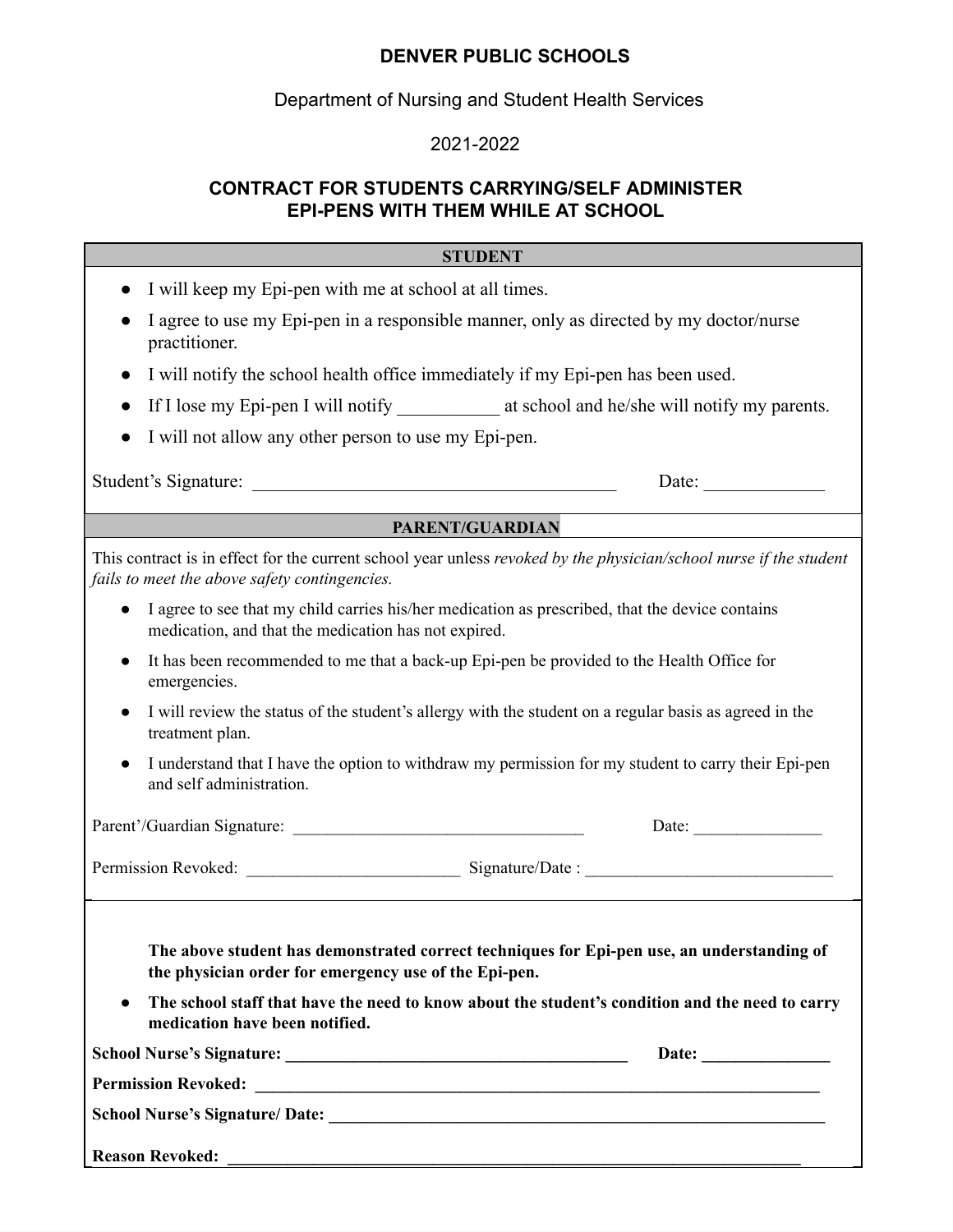## **DENVER PUBLIC SCHOOLS**

Department of Nursing and Student Health Services

## 2021-2022

## **CONTRACT FOR STUDENTS CARRYING/SELF ADMINISTER EPI-PENS WITH THEM WHILE AT SCHOOL**

| <b>STUDENT</b>                                                                                                                                                                                                                                                                                        |
|-------------------------------------------------------------------------------------------------------------------------------------------------------------------------------------------------------------------------------------------------------------------------------------------------------|
| I will keep my Epi-pen with me at school at all times.<br>$\bullet$                                                                                                                                                                                                                                   |
| I agree to use my Epi-pen in a responsible manner, only as directed by my doctor/nurse<br>practitioner.                                                                                                                                                                                               |
| I will notify the school health office immediately if my Epi-pen has been used.<br>$\bullet$                                                                                                                                                                                                          |
| If I lose my Epi-pen I will notify ______________ at school and he/she will notify my parents.                                                                                                                                                                                                        |
| I will not allow any other person to use my Epi-pen.                                                                                                                                                                                                                                                  |
| Student's Signature:<br>Date:                                                                                                                                                                                                                                                                         |
| <b>PARENT/GUARDIAN</b>                                                                                                                                                                                                                                                                                |
| This contract is in effect for the current school year unless revoked by the physician/school nurse if the student<br>fails to meet the above safety contingencies.                                                                                                                                   |
| I agree to see that my child carries his/her medication as prescribed, that the device contains<br>$\bullet$<br>medication, and that the medication has not expired.                                                                                                                                  |
| It has been recommended to me that a back-up Epi-pen be provided to the Health Office for<br>emergencies.                                                                                                                                                                                             |
| I will review the status of the student's allergy with the student on a regular basis as agreed in the<br>treatment plan.                                                                                                                                                                             |
| I understand that I have the option to withdraw my permission for my student to carry their Epi-pen<br>and self administration.                                                                                                                                                                       |
| Date: $\qquad \qquad$                                                                                                                                                                                                                                                                                 |
|                                                                                                                                                                                                                                                                                                       |
| The above student has demonstrated correct techniques for Epi-pen use, an understanding of<br>the physician order for emergency use of the Epi-pen.<br>The school staff that have the need to know about the student's condition and the need to carry<br>$\bullet$<br>medication have been notified. |
| Date: $\qquad \qquad$                                                                                                                                                                                                                                                                                 |
|                                                                                                                                                                                                                                                                                                       |
|                                                                                                                                                                                                                                                                                                       |
| <b>Reason Revoked:</b>                                                                                                                                                                                                                                                                                |